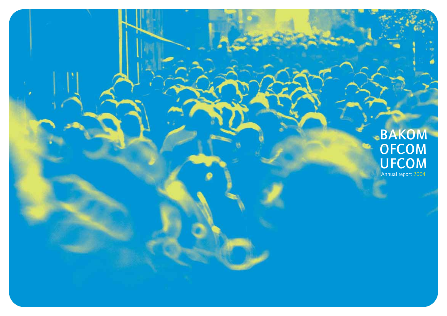# BAKOM **OFCOM** UFCOM Annual report 2004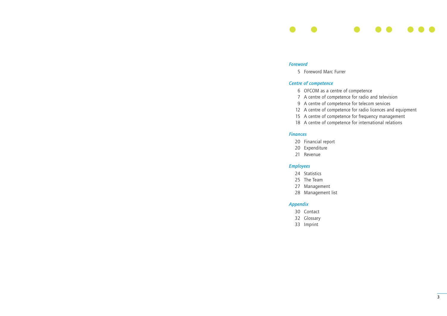#### $\bullet$  $\bullet$   $\bullet$  $\bullet$  $\bullet$   $\bullet$

#### *Foreword*

5 Foreword Marc Furrer

#### *Centre of competence*

- 6 OFCOM as a centre of competence
- 7 A centre of competence for radio and television
- 9 A centre of competence for telecom services
- 12 A centre of competence for radio licences and equipment
- 15 A centre of competence for frequency management
- 18 A centre of competence for international relations

#### *Finances*

- 20 Financial report
- 20 Expenditure
- 21 Revenue

#### *Employees*

- 24 Statistics
- 25 The Team
- 27 Management
- 28 Management list

#### *Appendix*

- 30 Contact
- 32 Glossary
- 33 Imprint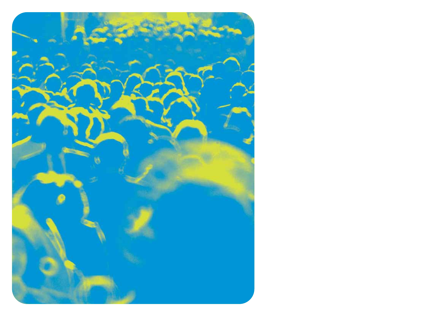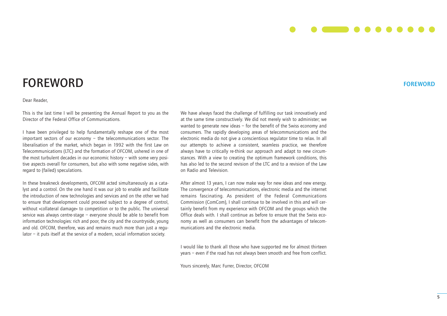

# FOREWORD

#### Dear Reader,

This is the last time I will be presenting the Annual Report to you as the Director of the Federal Office of Communications.

I have been privileged to help fundamentally reshape one of the most important sectors of our economy – the telecommunications sector. The liberalisation of the market, which began in 1992 with the first Law on Telecommunications (LTC) and the formation of OFCOM, ushered in one of the most turbulent decades in our economic history – with some very positive aspects overall for consumers, but also with some negative sides, with regard to (failed) speculations.

In these breakneck developments, OFCOM acted simultaneously as a catalyst and a control. On the one hand it was our job to enable and facilitate the introduction of new technologies and services and on the other we had to ensure that development could proceed subject to a degree of control, without «collateral damage» to competition or to the public. The universal service was always centre-stage – everyone should be able to benefit from information technologies: rich and poor, the city and the countryside, young and old. OFCOM, therefore, was and remains much more than just a regulator – it puts itself at the service of a modern, social information society.

We have always faced the challenge of fulfilling our task innovatively and at the same time constructively. We did not merely wish to administer; we wanted to generate new ideas – for the benefit of the Swiss economy and consumers. The rapidly developing areas of telecommunications and the electronic media do not give a conscientious regulator time to relax. In all our attempts to achieve a consistent, seamless practice, we therefore always have to critically re-think our approach and adapt to new circumstances. With a view to creating the optimum framework conditions, this has also led to the second revision of the LTC and to a revision of the Law on Radio and Television.

After almost 13 years, I can now make way for new ideas and new energy. The convergence of telecommunications, electronic media and the internet remains fascinating. As president of the Federal Communications Commission (ComCom), I shall continue to be involved in this and will certainly benefit from my experience with OFCOM and the groups which the Office deals with. I shall continue as before to ensure that the Swiss economy as well as consumers can benefit from the advantages of telecommunications and the electronic media.

I would like to thank all those who have supported me for almost thirteen years – even if the road has not always been smooth and free from conflict.

Yours sincerely, Marc Furrer, Director, OFCOM

FOREWORD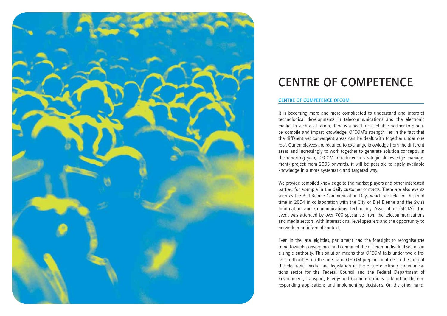

# CENTRE OF COMPETENCE

#### CENTRE OF COMPETENCE OFCOM

It is becoming more and more complicated to understand and interpret technological developments in telecommunications and the electronic media. In such a situation, there is a need for a reliable partner to produce, compile and impart knowledge. OFCOM's strength lies in the fact that the different yet convergent areas can be dealt with together under one roof. Our employees are required to exchange knowledge from the different areas and increasingly to work together to generate solution concepts. In the reporting year, OFCOM introduced a strategic «knowledge management» project: from 2005 onwards, it will be possible to apply available knowledge in a more systematic and targeted way.

We provide compiled knowledge to the market players and other interested parties, for example in the daily customer contacts. There are also events such as the Biel Bienne Communication Days which we held for the third time in 2004 in collaboration with the City of Biel Bienne and the Swiss Information and Communications Technology Association (SICTA). The event was attended by over 700 specialists from the telecommunications and media sectors, with international level speakers and the opportunity to network in an informal context.

Even in the late 'eighties, parliament had the foresight to recognise the trend towards convergence and combined the different individual sectors in a single authority. This solution means that OFCOM falls under two different authorities: on the one hand OFCOM prepares matters in the area of the electronic media and legislation in the entire electronic communications sector for the Federal Council and the Federal Department of Environment, Transport, Energy and Communications, submitting the corresponding applications and implementing decisions. On the other hand,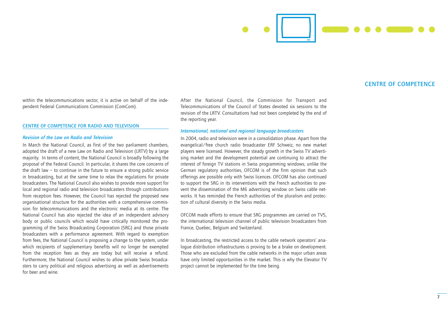# CENTRE OF COMPETENCE

within the telecommunications sector, it is active on behalf of the independent Federal Communications Commission (ComCom).

#### CENTRE OF COMPETENCE FOR RADIO AND TELEVISION

#### *Revision of the Law on Radio and Television*

In March the National Council, as first of the two parliament chambers, adopted the draft of a new Law on Radio and Television (LRTV) by a large majority. In terms of content, the National Council is broadly following the proposal of the Federal Council. In particular, it shares the core concerns of the draft law  $-$  to continue in the future to ensure a strong public service in broadcasting, but at the same time to relax the regulations for private broadcasters. The National Council also wishes to provide more support for local and regional radio and television broadcasters through contributions from reception fees. However, the Council has rejected the proposed new organisational structure for the authorities with a comprehensive commission for telecommunications and the electronic media at its centre. The National Council has also rejected the idea of an independent advisory body or public councils which would have critically monitored the programming of the Swiss Broadcasting Corporation (SRG) and those private broadcasters with a performance agreement. With regard to exemption from fees, the National Council is proposing a change to the system, under which recipients of supplementary benefits will no longer be exempted from the reception fees as they are today but will receive a refund. Furthermore, the National Council wishes to allow private Swiss broadcasters to carry political and religious advertising as well as advertisements for beer and wine.

After the National Council, the Commission for Transport and Telecommunications of the Council of States devoted six sessions to the revision of the LRTV. Consultations had not been completed by the end of the reporting year.

#### *International, national and regional language broadcasters*

In 2004, radio and television were in a consolidation phase. Apart from the evangelical/free church radio broadcaster ERF Schweiz, no new market players were licensed. However, the steady growth in the Swiss TV advertising market and the development potential are continuing to attract the interest of foreign TV stations in Swiss programming windows; unlike the German regulatory authorities, OFCOM is of the firm opinion that such offerings are possible only with Swiss licences. OFCOM has also continued to support the SRG in its interventions with the French authorities to prevent the dissemination of the M6 advertising window on Swiss cable networks. It has reminded the French authorities of the pluralism and protection of cultural diversity in the Swiss media.

OFCOM made efforts to ensure that SRG programmes are carried on TV5, the international television channel of public television broadcasters from France, Quebec, Belgium and Switzerland.

In broadcasting, the restricted access to the cable network operators' analogue distribution infrastructures is proving to be a brake on development. Those who are excluded from the cable networks in the major urban areas have only limited opportunities in the market. This is why the Elevator TV project cannot be implemented for the time being.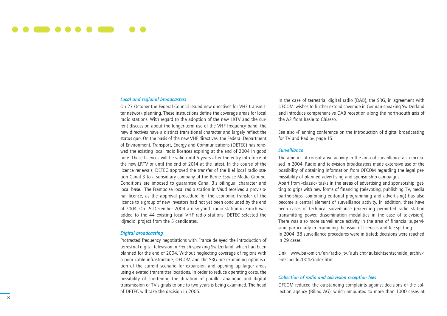# . . . . . . .

#### *Local and regional broadcasters*

On 27 October the Federal Council issued new directives for VHF transmitter network planning. These instructions define the coverage areas for local radio stations. With regard to the adoption of the new LRTV and the current discussion about the longer-term use of the VHF frequency band, the new directives have a distinct transitional character and largely reflect the status quo. On the basis of the new VHF directives, the Federal Department of Environment, Transport, Energy and Communications (DETEC) has renewed the existing local radio licences expiring at the end of 2004 in good time. These licences will be valid until 5 years after the entry into force of the new LRTV or until the end of 2014 at the latest. In the course of the licence renewals, DETEC approved the transfer of the Biel local radio station Canal 3 to a subsidiary company of the Berne Espace Media Groupe. Conditions are imposed to guarantee Canal 3's bilingual character and local base. The Framboise local radio station in Vaud received a provisional licence, as the approval procedure for the economic transfer of the licence to a group of new investors had not yet been concluded by the end of 2004. On 15 December 2004 a new youth radio station in Zurich was added to the 44 existing local VHF radio stations: DETEC selected the 'djradio' project from the 5 candidates.

#### *Digital broadcasting*

Protracted frequency negotiations with France delayed the introduction of terrestrial digital television in French-speaking Switzerland, which had been planned for the end of 2004. Without neglecting coverage of regions with a poor cable infrastructure, OFCOM and the SRG are examining optimisation of the current scenario for expansion and opening up larger areas using elevated transmitter locations. In order to reduce operating costs, the possibility of shortening the duration of parallel analogue and digital transmission of TV signals to one to two years is being examined. The head of DETEC will take the decision in 2005.

In the case of terrestrial digital radio (DAB), the SRG, in agreement with OFCOM, wishes to further extend coverage in German-speaking Switzerland and introduce comprehensive DAB reception along the north-south axis of the A2 from Basle to Chiasso.

See also «Planning conference on the introduction of digital broadcasting for TV and Radio», page 15.

#### *Surveillance*

The amount of consultative activity in the area of surveillance also increased in 2004. Radio and television broadcasters made extensive use of the possibility of obtaining information from OFCOM regarding the legal permissibility of planned advertising and sponsorship campaigns.

Apart from «classic» tasks in the areas of advertising and sponsorship, getting to grips with new forms of financing (televoting, publishing TV, media partnerships, combining editorial programming and advertising) has also become a central element of surveillance activity. In addition, there have been cases of technical surveillance (exceeding permitted radio station transmitting power, dissemination modalities in the case of television). There was also more surveillance activity in the area of financial supervision, particularly in examining the issue of licences and fee-splitting.

In 2004, 38 surveillance procedures were initiated; decisions were reached in 29 cases.

Link: www.bakom.ch/en/radio\_tv/aufsicht/aufsichtsentscheide\_archiv/ entscheide2004/index.html

#### *Collection of radio and television reception fees*

OFCOM reduced the outstanding complaints against decisions of the collection agency (Billag AG), which amounted to more than 1000 cases at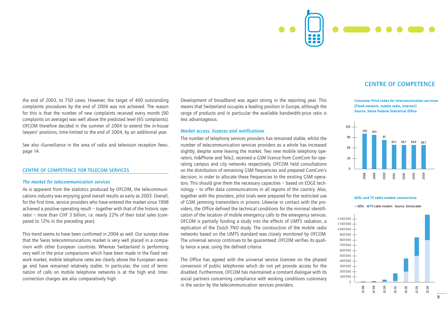

the end of 2003, to 750 cases. However, the target of 400 outstanding complaints procedures by the end of 2004 was not achieved. The reason for this is that the number of new complaints received every month (90 complaints on average) was well above the predicted level (65 complaints). OFCOM therefore decided in the summer of 2004 to extend the in-house lawyers' positions, time-limited to the end of 2004, by an additional year.

See also «Surveillance in the area of radio and television reception fees», page 14.

#### CENTRE OF COMPETENCE FOR TELECOM SERVICES

#### *The market for telecommunication services*

As is apparent from the statistics produced by OFCOM, the telecommunications industry was enjoying good overall results as early as 2003. Overall, for the first time, service providers who have entered the market since 1998 achieved a positive operating result – together with that of the historic operator – more than CHF 3 billion, i.e. nearly 22% of their total sales (compared to 12% in the preceding year).

This trend seems to have been confirmed in 2004 as well. Our surveys show that the Swiss telecommunications market is very well placed in a comparison with other European countries. Whereas Switzerland is performing very well in the price comparisons which have been made in the fixed network market, mobile telephone rates are clearly above the European average and have remained relatively stable. In particular, the cost of termination of calls on mobile telephone networks is at the high end. Interconnection charges are also comparatively high.

Development of broadband was again strong in the reporting year. This means that Switzerland occupies a leading position in Europe, although the range of products and in particular the available bandwidth-price ratio is less advantageous.

#### *Market access, licences and notifications*

The number of telephony services providers has remained stable, whilst the number of telecommunication services providers as a whole has increased slightly, despite some leaving the market. Two new mobile telephony operators, In&Phone and Tele2, received a GSM licence from ComCom for operating campus and city networks respectively. OFCOM held consultations on the distribution of remaining GSM frequencies and prepared ComCom's decision, in order to allocate these frequencies to the existing GSM operators. This should give them the necessary capacities – based on EDGE technology – to offer data communications in all regions of the country. Also, together with the providers, pilot trials were prepared for the restricted use of GSM jamming transmitters in prisons. Likewise in contact with the providers, the Office defined the technical conditions for the minimal identification of the location of mobile emergency calls to the emergency services. OFCOM is partially funding a study into the effects of UMTS radiation, a replication of the Dutch TNO study. The construction of the mobile radio networks based on the UMTS standard was closely monitored by OFCOM. The universal service continues to be guaranteed: OFCOM verifies its quality twice a year, using the defined criteria.

The Office has agreed with the universal service licensee on the phased conversion of public telephones which do not yet provide access for the disabled. Furthermore, OFCOM has maintained a constant dialogue with its social partners concerning compliance with working conditions customary in the sector by the telecommunication services providers.

# CENTRE OF COMPETENCE

**Consumer Price Index for telecomunication services (Fixed network, mobile radio, internet) Source: Swiss Federal Statistical Office**



#### **ADSL and TV cable modem connections**

ADSL TV cable modem Source: Swisscable

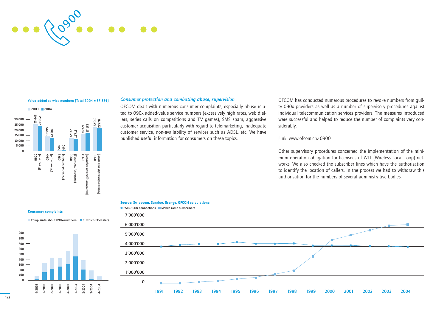

#### **Value-added service numbers (Total 2004 = 87'324)**



#### *Consumer protection and combating abuse; supervision*

OFCOM dealt with numerous consumer complaints, especially abuse related to 090x added-value service numbers (excessively high rates, web diallers, series calls on competitions and TV games), SMS spam, aggressive customer acquisition particularly with regard to telemarketing, inadequate customer service, non-availability of services such as ADSL, etc. We have published useful information for consumers on these topics.

OFCOM has conducted numerous procedures to revoke numbers from guilty 090x providers as well as a number of supervisory procedures against individual telecommunication services providers. The measures introduced were successful and helped to reduce the number of complaints very considerably.

#### Link: www.ofcom.ch/0900

Other supervisory procedures concerned the implementation of the minimum operation obligation for licensees of WLL (Wireless Local Loop) networks. We also checked the subscriber lines which have the authorisation to identify the location of callers. In the process we had to withdraw this authorisation for the numbers of several administrative bodies.

#### **Source: Swisscom, Sunrise, Orange, OFCOM calculations**



**• PSTN/ISDN connections II Mobile radio subscribers** 

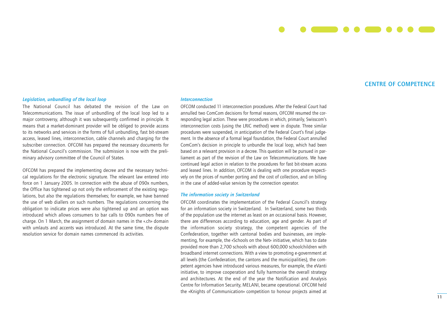

## CENTRE OF COMPETENCE

#### *Legislation, unbundling of the local loop*

The National Council has debated the revision of the Law on Telecommunications. The issue of unbundling of the local loop led to a major controversy, although it was subsequently confirmed in principle. It means that a market-dominant provider will be obliged to provide access to its networks and services in the forms of full unbundling, fast bit-stream access, leased lines, interconnection, cable channels and charging for the subscriber connection. OFCOM has prepared the necessary documents for the National Council's commission. The submission is now with the preliminary advisory committee of the Council of States.

OFCOM has prepared the implementing decree and the necessary technical regulations for the electronic signature. The relevant law entered into force on 1 January 2005. In connection with the abuse of 090x numbers, the Office has tightened up not only the enforcement of the existing regulations, but also the regulations themselves; for example, we have banned the use of web diallers on such numbers. The regulations concerning the obligation to indicate prices were also tightened up and an option was introduced which allows consumers to bar calls to 090x numbers free of charge. On 1 March, the assignment of domain names in the «.ch» domain with umlauts and accents was introduced. At the same time, the dispute resolution service for domain names commenced its activities.

#### *Interconnection*

OFCOM conducted 11 interconnection procedures. After the Federal Court had annulled two ComCom decisions for formal reasons, OFCOM resumed the corresponding legal action. These were procedures in which, primarily, Swisscom's interconnection costs (using the LRIC method) were in dispute. Three similar procedures were suspended, in anticipation of the Federal Court's final judgement. In the absence of a formal legal foundation, the Federal Court annulled ComCom's decision in principle to unbundle the local loop, which had been based on a relevant provision in a decree. This question will be pursued in parliament as part of the revision of the Law on Telecommunications. We have continued legal action in relation to the procedures for fast bit-stream access and leased lines. In addition, OFCOM is dealing with one procedure respectively on the prices of number porting and the cost of collection, and on billing in the case of added-value services by the connection operator.

#### *The information society in Switzerland*

OFCOM coordinates the implementation of the Federal Council's strategy for an information society in Switzerland. In Switzerland, some two thirds of the population use the internet as least on an occasional basis. However, there are differences according to education, age and gender. As part of the information society strategy, the competent agencies of the Confederation, together with cantonal bodies and businesses, are implementing, for example, the «Schools on the Net» initiative, which has to date provided more than 2,700 schools with about 600,000 schoolchildren with broadband internet connections. With a view to promoting e-government at all levels (the Confederation, the cantons and the municipalities), the competent agencies have introduced various measures, for example, the eVanti initiative, to improve cooperation and fully harmonise the overall strategy and architectures. At the end of the year the Notification and Analysis Centre for Information Security, MELANI, became operational. OFCOM held the «Knights of Communication» competition to honour projects aimed at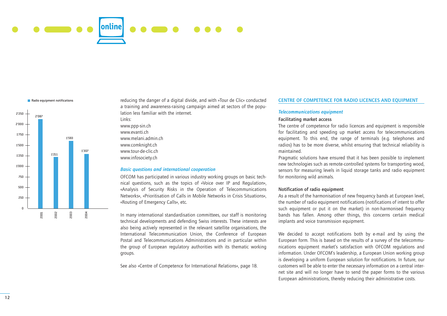|online| 

#### Radio equipment notifications



reducing the danger of a digital divide, and with «Tour de Clic» conducted a training and awareness-raising campaign aimed at sectors of the population less familiar with the internet.

Links: www.ppp-sin.ch www.evanti.ch www.melani.admin.ch www.comknight.ch www.tour-de-clic.ch www.infosociety.ch

#### *Basic questions and international cooperation*

OFCOM has participated in various industry working groups on basic technical questions, such as the topics of «Voice over IP and Regulation», «Analysis of Security Risks in the Operation of Telecommunications Networks», «Prioritisation of Calls in Mobile Networks in Crisis Situations», «Routing of Emergency Calls», etc.

In many international standardisation committees, our staff is monitoring technical developments and defending Swiss interests. These interests are also being actively represented in the relevant satellite organisations, the International Telecommunication Union, the Conference of European Postal and Telecommunications Administrations and in particular within the group of European regulatory authorities with its thematic working groups.

See also «Centre of Competence for International Relations», page 18.

#### CENTRE OF COMPETENCE FOR RADIO LICENCES AND EQUIPMENT

#### *Telecommunications equipment*

#### Facilitating market access

The centre of competence for radio licences and equipment is responsible for facilitating and speeding up market access for telecommunications equipment. To this end, the range of terminals (e.g. telephones and radios) has to be more diverse, whilst ensuring that technical reliability is maintained.

Pragmatic solutions have ensured that it has been possible to implement new technologies such as remote-controlled systems for transporting wood, sensors for measuring levels in liquid storage tanks and radio equipment for monitoring wild animals.

#### Notification of radio equipment

As a result of the harmonisation of new frequency bands at European level, the number of radio equipment notifications (notifications of intent to offer such equipment or put it on the market) in non-harmonised frequency bands has fallen. Among other things, this concerns certain medical implants and voice transmission equipment.

We decided to accept notifications both by e-mail and by using the European form. This is based on the results of a survey of the telecommunications equipment market's satisfaction with OFCOM regulations and information. Under OFCOM's leadership, a European Union working group is developing a uniform European solution for notifications. In future, our customers will be able to enter the necessary information on a central internet site and will no longer have to send the paper forms to the various European administrations, thereby reducing their administrative costs.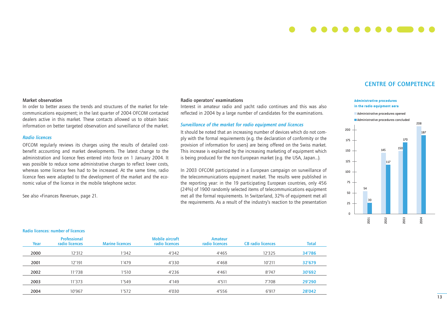#### Market observation

In order to better assess the trends and structures of the market for telecommunications equipment; in the last quarter of 2004 OFCOM contacted dealers active in this market. These contacts allowed us to obtain basic information on better targeted observation and surveillance of the market.

#### *Radio licences*

OFCOM regularly reviews its charges using the results of detailed costbenefit accounting and market developments. The latest change to the administration and licence fees entered into force on 1 January 2004. It was possible to reduce some administrative charges to reflect lower costs, whereas some licence fees had to be increased. At the same time, radio licence fees were adapted to the development of the market and the economic value of the licence in the mobile telephone sector.

See also «Finances Revenue», page 21.

#### Radio operators' examinations

Interest in amateur radio and yacht radio continues and this was also reflected in 2004 by a large number of candidates for the examinations.

#### *Surveillance of the market for radio equipment and licences*

It should be noted that an increasing number of devices which do not comply with the formal requirements (e.g. the declaration of conformity or the provision of information for users) are being offered on the Swiss market. This increase is explained by the increasing marketing of equipment which is being produced for the non-European market (e.g. the USA, Japan…).

In 2003 OFCOM participated in a European campaign on surveillance of the telecommunications equipment market. The results were published in the reporting year: in the 19 participating European countries, only 456 (24%) of 1900 randomly selected items of telecommunications equipment met all the formal requirements. In Switzerland, 32% of equipment met all the requirements. As a result of the industry's reaction to the presentation

# CENTRE OF COMPETENCE

#### **Administrative procedures in the radio equipment aera**



#### Radio licences: number of licences

| Year | <b>Professional</b><br>radio licences | <b>Marine licences</b> | Mobile aircraft<br>radio licences | Amateur<br>radio licences | <b>CB</b> radio licences | <b>Total</b> |
|------|---------------------------------------|------------------------|-----------------------------------|---------------------------|--------------------------|--------------|
| 2000 | 12'312                                | 1'342                  | 4'342                             | 4'465                     | 12'325                   | 34'786       |
| 2001 | 12'191                                | 1'479                  | 4'330                             | 4'468                     | 10'211                   | 32'679       |
| 2002 | 11'738                                | 1'510                  | 4'236                             | 4'461                     | 8'747                    | 30'692       |
| 2003 | 11'373                                | 1'549                  | 4'149                             | 4'511                     | 7'708                    | 29'290       |
| 2004 | 10'967                                | 1'572                  | 4'030                             | 4'556                     | 6'917                    | 28'042       |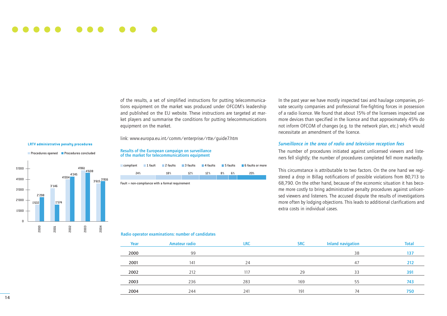of the results, a set of simplified instructions for putting telecommunications equipment on the market was produced under OFCOM's leadership and published on the EU website. These instructions are targeted at market players and summarise the conditions for putting telecommunications equipment on the market.

link: www.europa.eu.int/comm/enterprise/rtte/guide7.htm

## **LRTV administrative penalty procedures Procedures opened Procedures concluded**



#### Results of the European campaign on surveillance of the market for telecommunications equipment



In the past year we have mostly inspected taxi and haulage companies, private security companies and professional fire-fighting forces in possession of a radio licence. We found that about 15% of the licensees inspected use more devices than specified in the licence and that approximately 45% do not inform OFCOM of changes (e.g. to the network plan, etc.) which would necessitate an amendment of the licence.

#### *Surveillance in the area of radio and television reception fees*

The number of procedures initiated against unlicensed viewers and listeners fell slightly; the number of procedures completed fell more markedly.

This circumstance is attributable to two factors. On the one hand we registered a drop in Billag notifications of possible violations from 80,713 to 68,790. On the other hand, because of the economic situation it has become more costly to bring administrative penalty procedures against unlicensed viewers and listeners. The accused dispute the results of investigations more often by lodging objections. This leads to additional clarifications and extra costs in individual cases.

#### Radio operator examinations: number of candidates

| Year | Amateur radio | <b>LRC</b> | <b>SRC</b> | <b>Inland navigation</b> | <b>Total</b> |
|------|---------------|------------|------------|--------------------------|--------------|
| 2000 | 99            |            |            | 38                       | 137          |
| 2001 | 141           | 24         |            | 47                       | 212          |
| 2002 | 212           | 117        | 29         | 33                       | 391          |
| 2003 | 236           | 283        | 169        | 55                       | 743          |
| 2004 | 244           | 241        | 191        | 74                       | 750          |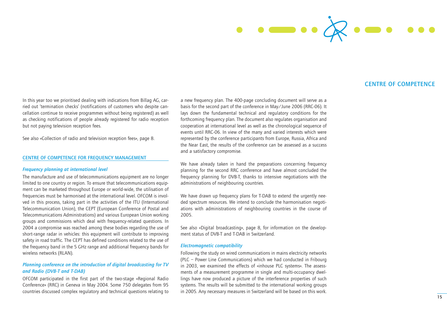

# CENTRE OF COMPETENCE

In this year too we prioritised dealing with indications from Billag AG, carried out 'termination checks' (notifications of customers who despite cancellation continue to receive programmes without being registered) as well as checking notifications of people already registered for radio reception but not paying television reception fees.

See also «Collection of radio and television reception fees», page 8.

#### CENTRE OF COMPETENCE FOR FREQUENCY MANAGEMENT

#### *Frequency planning at international level*

The manufacture and use of telecommunications equipment are no longer limited to one country or region. To ensure that telecommunications equipment can be marketed throughout Europe or world-wide, the utilisation of frequencies must be harmonised at the international level. OFCOM is involved in this process, taking part in the activities of the ITU (International Telecommunication Union), the CEPT (European Conference of Postal and Telecommunications Administrations) and various European Union working groups and commissions which deal with frequency-related questions. In 2004 a compromise was reached among these bodies regarding the use of short-range radar in vehicles: this equipment will contribute to improving safety in road traffic. The CEPT has defined conditions related to the use of the frequency band in the 5 GHz range and additional frequency bands for wireless networks (RLAN).

#### *Planning conference on the introduction of digital broadcasting for TV and Radio (DVB-T and T-DAB)*

OFCOM participated in the first part of the two-stage «Regional Radio Conference» (RRC) in Geneva in May 2004. Some 750 delegates from 95 countries discussed complex regulatory and technical questions relating to a new frequency plan. The 400-page concluding document will serve as a basis for the second part of the conference in May/June 2006 (RRC-06). It lays down the fundamental technical and regulatory conditions for the forthcoming frequency plan. The document also regulates organisation and cooperation at international level as well as the chronological sequence of events until RRC-06. In view of the many and varied interests which were represented by the conference participants from Europe, Russia, Africa and the Near East, the results of the conference can be assessed as a success and a satisfactory compromise.

We have already taken in hand the preparations concerning frequency planning for the second RRC conference and have almost concluded the frequency planning for DVB-T, thanks to intensive negotiations with the administrations of neighbouring countries.

We have drawn up frequency plans for T-DAB to extend the urgently needed spectrum resources. We intend to conclude the harmonisation negotiations with administrations of neighbouring countries in the course of 2005.

See also «Digital broadcasting», page 8, for information on the development status of DVB-T and T-DAB in Switzerland.

#### *Electromagnetic compatibility*

Following the study on wired communications in mains electricity networks (PLC – Power Line Communications) which we had conducted in Fribourg in 2003, we examined the effects of «inhouse PLC systems». The assessments of a measurement programme in single and multi-occupancy dwellings have now produced a picture of the interference properties of such systems. The results will be submitted to the international working groups in 2005. Any necessary measures in Switzerland will be based on this work.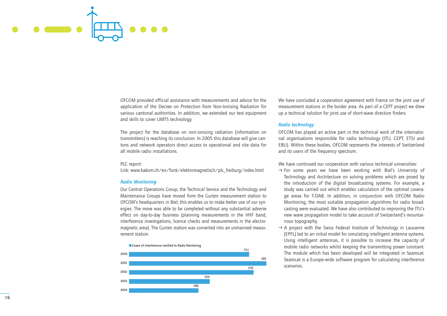

OFCOM provided official assistance with measurements and advice for the application of the Decree on Protection from Non-Ionising Radiation for various cantonal authorities. In addition, we extended our test equipment and skills to cover UMTS technology.

The project for the database on non-ionising radiation (information on transmitters) is reaching its conclusion. In 2005 this database will give cantons and network operators direct access to operational and site data for all mobile radio installations.

#### PLC report:

Link: www.bakom.ch/en/funk/elektromagnetisch/plc\_freiburg/index.html

#### *Radio Monitoring*

Our Central Operations Group, the Technical Service and the Technology and Maintenance Groups have moved from the Gurten measurement station to OFCOM's headquarters in Biel; this enables us to make better use of our synergies. The move was able to be completed without any substantial adverse effect on day-to-day business (planning measurements in the VHF band, interference investigations, licence checks and measurements in the electromagnetic area). The Gurten station was converted into an unmanned measurement station.



We have concluded a cooperation agreement with France on the joint use of measurement stations in the border area. As part of a CEPT project we drew up a technical solution for joint use of short-wave direction finders.

#### *Radio technology*

OFCOM has played an active part in the technical work of the international organisations responsible for radio technology (ITU, CEPT, ETSI and EBU). Within these bodies, OFCOM represents the interests of Switzerland and its users of the frequency spectrum.

We have continued our cooperation with various technical universities:

- **≥** For some years we have been working with Biel's University of Technology and Architecture on solving problems which are posed by the introduction of the digital broadcasting systems. For example, a study was carried out which enables calculation of the optimal coverage areas for T-DAB. In addition, in conjunction with OFCOM Radio Monitoring, the most suitable propagation algorithms for radio broadcasting were evaluated. We have also contributed to improving the ITU's new wave propagation model to take account of Switzerland's mountainous topography.
- **≥** A project with the Swiss Federal Institute of Technology in Lausanne (EPFL) led to an initial model for simulating intelligent antenna systems. Using intelligent antennas, it is possible to increase the capacity of mobile radio networks whilst keeping the transmitting power constant. The module which has been developed will be integrated in Seamcat. Seamcat is a Europe-wide software program for calculating interference scenarios.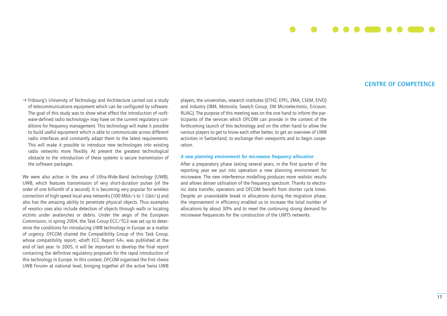# . . . **. . .** . .

# CENTRE OF COMPETENCE

**≥** Fribourg's University of Technology and Architecture carried out a study of telecommunications equipment which can be configured by software. The goal of this study was to show what effect the introduction of «software-defined radio technology» may have on the current regulatory conditions for frequency management. This technology will make it possible to build useful equipment which is able to communicate across different radio interfaces and constantly adapt them to the latest requirements. This will make it possible to introduce new technologies into existing radio networks more flexibly. At present the greatest technological obstacle to the introduction of these systems is secure transmission of the software packages.

We were also active in the area of Ultra-Wide-Band technology (UWB). UWB, which features transmission of very short-duration pulses (of the order of one billionth of a second). It is becoming very popular for wireless connection of high-speed local area networks (100 Mbit/s to 1 Gbit/s) and also has the amazing ability to penetrate physical objects. Thus examples of «exotic» uses also include detection of objects through walls or locating victims under avalanches or debris. Under the aegis of the European Commission, in spring 2004, the Task Group ECC/TG3 was set up to determine the conditions for introducing UWB technology in Europe as a matter of urgency. OFCOM chaired the Compatibility Group of this Task Group, whose compatibility report, «draft ECC Report 64», was published at the end of last year. In 2005, it will be important to develop the final report containing the definitive regulatory proposals for the rapid introduction of this technology in Europe. In this context, OFCOM organised the first «Swiss UWB Forum» at national level, bringing together all the active Swiss UWB

players, the universities, research institutes (ETHZ, EPFL, ZMA, CSEM, EIVD) and industry (IBM, Motorola, Swatch Group, EM Microelectronic, Ericsson, RUAG). The purpose of this meeting was on the one hand to inform the participants of the services which OFCOM can provide in the context of the forthcoming launch of this technology and on the other hand to allow the various players to get to know each other better, to get an overview of UWB activities in Switzerland, to exchange their viewpoints and to begin cooperation.

#### *A new planning environment for microwave frequency allocation*

After a preparatory phase lasting several years, in the first quarter of the reporting year we put into operation a new planning environment for microwave. The new interference modelling produces more realistic results and allows denser utilisation of the frequency spectrum. Thanks to electronic data transfer, operators and OFCOM benefit from shorter cycle times. Despite an unavoidable break in allocations during the migration phase, the improvement in efficiency enabled us to increase the total number of allocations by about 30% and to meet the continuing strong demand for microwave frequencies for the construction of the UMTS networks.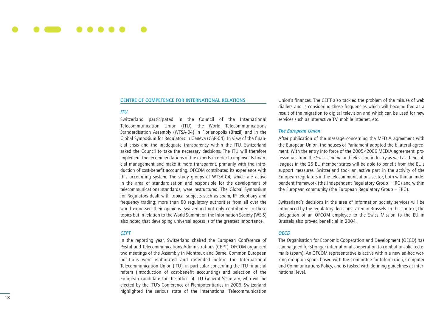#### CENTRE OF COMPETENCE FOR INTERNATIONAL RELATIONS

#### *ITU*

Switzerland participated in the Council of the International Telecommunication Union (ITU), the World Telecommunications Standardisation Assembly (WTSA-04) in Florianopolis (Brazil) and in the Global Symposium for Regulators in Geneva (GSR-04). In view of the financial crisis and the inadequate transparency within the ITU, Switzerland asked the Council to take the necessary decisions. The ITU will therefore implement the recommendations of the experts in order to improve its financial management and make it more transparent, primarily with the introduction of cost-benefit accounting. OFCOM contributed its experience with this accounting system. The study groups of WTSA-04, which are active in the area of standardisation and responsible for the development of telecommunications standards, were restructured. The Global Symposium for Regulators dealt with topical subjects such as spam, IP telephony and frequency trading; more than 80 regulatory authorities from all over the world expressed their opinions. Switzerland not only contributed to these topics but in relation to the World Summit on the Information Society (WSIS) also noted that developing universal access is of the greatest importance.

#### *CEPT*

In the reporting year, Switzerland chaired the European Conference of Postal and Telecommunications Administrations (CEPT). OFCOM organised two meetings of the Assembly in Montreux and Berne. Common European positions were elaborated and defended before the International Telecommunication Union (ITU), in particular concerning the ITU financial reform (introduction of cost-benefit accounting) and selection of the European candidate for the office of ITU General Secretary, who will be elected by the ITU's Conference of Plenipotentiaries in 2006. Switzerland highlighted the serious state of the International Telecommunication

Union's finances. The CEPT also tackled the problem of the misuse of web diallers and is considering those frequencies which will become free as a result of the migration to digital television and which can be used for new services such as interactive TV, mobile internet, etc.

#### *The European Union*

After publication of the message concerning the MEDIA agreement with the European Union, the houses of Parliament adopted the bilateral agreement. With the entry into force of the 2005/2006 MEDIA agreement, professionals from the Swiss cinema and television industry as well as their colleagues in the 25 EU member states will be able to benefit from the EU's support measures. Switzerland took an active part in the activity of the European regulators in the telecommunications sector, both within an independent framework (the Independent Regulatory Group – IRG) and within the European community (the European Regulatory Group – ERG).

Switzerland's decisions in the area of information society services will be influenced by the regulatory decisions taken in Brussels. In this context, the delegation of an OFCOM employee to the Swiss Mission to the EU in Brussels also proved beneficial in 2004.

#### *OECD*

The Organisation for Economic Cooperation and Development (OECD) has campaigned for stronger international cooperation to combat unsolicited emails (spam). An OFCOM representative is active within a new ad-hoc working group on spam, based with the Committee for Information, Computer and Communications Policy, and is tasked with defining guidelines at international level.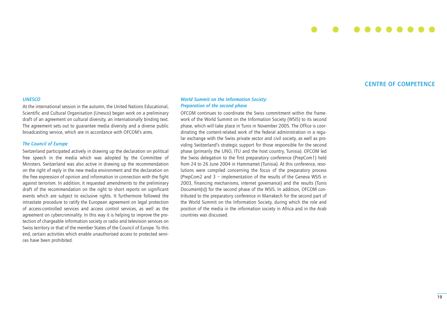# 

# CENTRE OF COMPETENCE

#### *UNESCO*

At the international session in the autumn, the United Nations Educational, Scientific and Cultural Organisation (Unesco) began work on a preliminary draft of an agreement on cultural diversity, an internationally binding text. The agreement sets out to guarantee media diversity and a diverse public broadcasting service, which are in accordance with OFCOM's aims.

#### *The Council of Europe*

Switzerland participated actively in drawing up the declaration on political free speech in the media which was adopted by the Committee of Ministers. Switzerland was also active in drawing up the recommendation on the right of reply in the new media environment and the declaration on the free expression of opinion and information in connection with the fight against terrorism. In addition, it requested amendments to the preliminary draft of the recommendation on the right to short reports on significant events which are subject to exclusive rights. It furthermore followed the intrastate procedure to ratify the European agreement on legal protection of access-controlled services and access control services, as well as the agreement on cybercriminality. In this way it is helping to improve the protection of chargeable information society or radio and television services on Swiss territory or that of the member States of the Council of Europe. To this end, certain activities which enable unauthorised access to protected services have been prohibited.

#### *World Summit on the Information Society: Preparation of the second phase*

OFCOM continues to coordinate the Swiss commitment within the framework of the World Summit on the Information Society (WSIS) to its second phase, which will take place in Tunis in November 2005. The Office is coordinating the content-related work of the federal administration in a regular exchange with the Swiss private sector and civil society, as well as providing Switzerland's strategic support for those responsible for the second phase (primarily the UNO, ITU and the host country, Tunisia). OFCOM led the Swiss delegation to the first preparatory conference (PrepCom1) held from 24 to 26 June 2004 in Hammamet (Tunisia). At this conference, resolutions were compiled concerning the focus of the preparatory process (PrepCom2 and 3 – implementation of the results of the Geneva WSIS in 2003, financing mechanisms, internet governance) and the results (Tunis Document(s)) for the second phase of the WSIS. In addition, OFCOM contributed to the preparatory conference in Marrakech for the second part of the World Summit on the Information Society, during which the role and position of the media in the information society in Africa and in the Arab countries was discussed.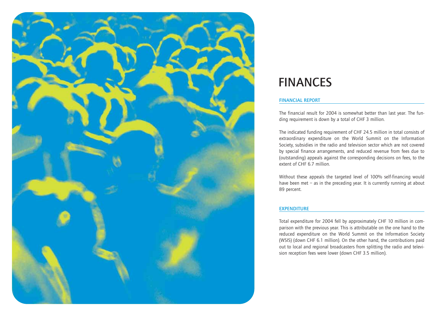

# FINANCES

#### FINANCIAL REPORT

The financial result for 2004 is somewhat better than last year. The funding requirement is down by a total of CHF 3 million.

The indicated funding requirement of CHF 24.5 million in total consists of extraordinary expenditure on the World Summit on the Information Society, subsidies in the radio and television sector which are not covered by special finance arrangements, and reduced revenue from fees due to (outstanding) appeals against the corresponding decisions on fees, to the extent of CHF 6.7 million.

Without these appeals the targeted level of 100% self-financing would have been met  $-$  as in the preceding year. It is currently running at about 89 percent.

#### EXPENDITURE

Total expenditure for 2004 fell by approximately CHF 10 million in comparison with the previous year. This is attributable on the one hand to the reduced expenditure on the World Summit on the Information Society (WSIS) (down CHF 6.1 million). On the other hand, the contributions paid out to local and regional broadcasters from splitting the radio and television reception fees were lower (down CHF 3.5 million).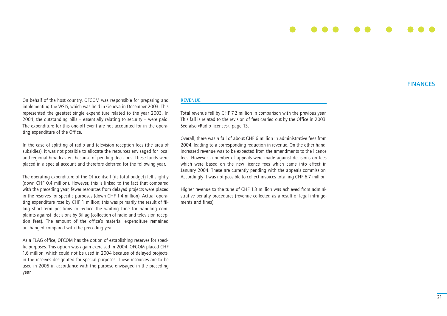#### FINANCES

On behalf of the host country, OFCOM was responsible for preparing and implementing the WSIS, which was held in Geneva in December 2003. This represented the greatest single expenditure related to the year 2003. In 2004, the outstanding bills – essentially relating to security – were paid. The expenditure for this one-off event are not accounted for in the operating expenditure of the Office.

In the case of splitting of radio and television reception fees (the area of subsidies), it was not possible to allocate the resources envisaged for local and regional broadcasters because of pending decisions. These funds were placed in a special account and therefore deferred for the following year.

The operating expenditure of the Office itself (its total budget) fell slightly (down CHF 0.4 million). However, this is linked to the fact that compared with the preceding year, fewer resources from delayed projects were placed in the reserves for specific purposes (down CHF 1.4 million). Actual operating expenditure rose by CHF 1 million; this was primarily the result of filling short-term positions to reduce the waiting time for handling complaints against decisions by Billag (collection of radio and television reception fees). The amount of the office's material expenditure remained unchanged compared with the preceding year.

As a FLAG office, OFCOM has the option of establishing reserves for specific purposes. This option was again exercised in 2004. OFCOM placed CHF 1.6 million, which could not be used in 2004 because of delayed projects, in the reserves designated for special purposes. These resources are to be used in 2005 in accordance with the purpose envisaged in the preceding year.

#### REVENUE

Total revenue fell by CHF 7.2 million in comparison with the previous year. This fall is related to the revision of fees carried out by the Office in 2003. See also «Radio licences», page 13.

Overall, there was a fall of about CHF 6 million in administrative fees from 2004, leading to a corresponding reduction in revenue. On the other hand, increased revenue was to be expected from the amendments to the licence fees. However, a number of appeals were made against decisions on fees which were based on the new licence fees which came into effect in January 2004. These are currently pending with the appeals commission. Accordingly it was not possible to collect invoices totalling CHF 6.7 million.

Higher revenue to the tune of CHF 1.3 million was achieved from administrative penalty procedures (revenue collected as a result of legal infringements and fines).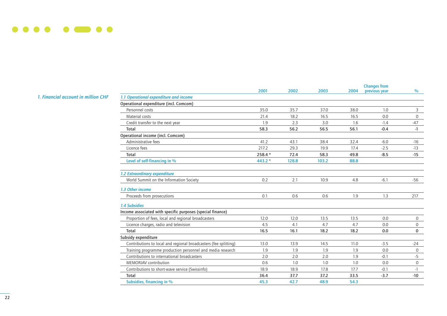# 

|                                                                  |          |       |       |      | <b>Changes from</b> |               |
|------------------------------------------------------------------|----------|-------|-------|------|---------------------|---------------|
|                                                                  | 2001     | 2002  | 2003  | 2004 | previous year       | $\frac{0}{0}$ |
| 1.1 Operational expenditure and income                           |          |       |       |      |                     |               |
| Operational expenditure (incl. Comcom)                           |          |       |       |      |                     |               |
| Personnel costs                                                  | 35.0     | 35.7  | 37.0  | 38.0 | 1.0                 | 3             |
| Material costs                                                   | 21.4     | 18.2  | 16.5  | 16.5 | 0.0                 | $\mathbf 0$   |
| Credit transfer to the next year                                 | 1.9      | 2.3   | 3.0   | 1.6  | $-1.4$              | $-47$         |
| Total                                                            | 58.3     | 56.2  | 56.5  | 56.1 | $-0.4$              | -1            |
| Operational income (incl. Comcom)                                |          |       |       |      |                     |               |
| Administrative fees                                              | 41.2     | 43.1  | 38.4  | 32.4 | $-6.0$              | $-16$         |
| Licence fees                                                     | 217.2    | 29.3  | 19.9  | 17.4 | $-2.5$              | $-13$         |
| Total                                                            | $258.4*$ | 72.4  | 58.3  | 49.8 | $-8.5$              | $-15$         |
| Level of self-financing in %                                     | $443.2*$ | 128.8 | 103.2 | 88.8 |                     |               |
| 1.2 Extraordinary expenditure                                    |          |       |       |      |                     |               |
| World Summit on the Information Society                          | 0.2      | 2.1   | 10.9  | 4.8  | $-6.1$              | $-56$         |
| 1.3 Other income                                                 |          |       |       |      |                     |               |
| Proceeds from prosecutions                                       | 0.1      | 0.6   | 0.6   | 1.9  | 1.3                 | 217           |
| <b>1.4 Subsidies</b>                                             |          |       |       |      |                     |               |
| Income associated with specific purposes (special finance)       |          |       |       |      |                     |               |
| Proportion of fees, local and regional broadcasters              | 12.0     | 12.0  | 13.5  | 13.5 | 0.0                 | 0             |
| Licence charges, radio and television                            | 4.5      | 4.1   | 4.7   | 4.7  | 0.0                 | 0             |
| Total                                                            | 16.5     | 16.1  | 18.2  | 18.2 | 0.0                 | 0             |
| Subsidy expenditure                                              |          |       |       |      |                     |               |
| Contributions to local and regional broadcasters (fee splitting) | 13.0     | 13.9  | 14.5  | 11.0 | $-3.5$              | $-24$         |
| Training programme production personnel and media research       | 1.9      | 1.9   | 1.9   | 1.9  | 0.0                 | 0             |
| Contributions to international broadcasters                      | 2.0      | 2.0   | 2.0   | 1.9  | $-0.1$              | $-5$          |
| MEMORIAV contribution                                            | 0.6      | 1.0   | 1.0   | 1.0  | 0.0                 | $\Omega$      |
| Contributions to short-wave service (Swissinfo)                  | 18.9     | 18.9  | 17.8  | 17.7 | $-0.1$              | -1            |
| Total                                                            | 36.4     | 37.7  | 37.2  | 33.5 | $-3.7$              | $-10$         |
| Subsidies, financing in %                                        | 45.3     | 42.7  | 48.9  | 54.3 |                     |               |

*1. Financial account in million CHF*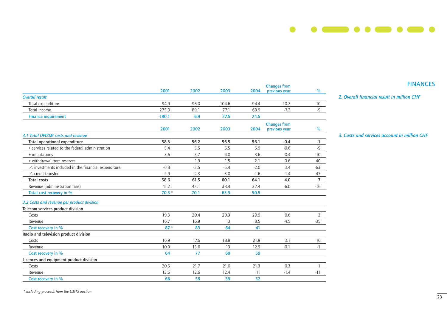# FINANCES

*2. Overall financial result in million CHF*

*3. Costs and services account in million CHF*

|                                                       |          |        |        |        | <b>Changes from</b> |                |
|-------------------------------------------------------|----------|--------|--------|--------|---------------------|----------------|
|                                                       | 2001     | 2002   | 2003   | 2004   | previous year       | $\%$           |
| <b>Overall result</b>                                 |          |        |        |        |                     |                |
| Total expenditure                                     | 94.9     | 96.0   | 104.6  | 94.4   | $-10.2$             | $-10$          |
| Total income                                          | 275.0    | 89.1   | 77.1   | 69.9   | $-7.2$              | $-9$           |
| <b>Finance requirement</b>                            | $-180.1$ | 6.9    | 27.5   | 24.5   |                     |                |
|                                                       |          |        |        |        | <b>Changes from</b> |                |
|                                                       | 2001     | 2002   | 2003   | 2004   | previous year       | $\%$           |
| 3.1 Total OFCOM costs and revenue                     |          |        |        |        |                     |                |
| Total operational expenditure                         | 58.3     | 56.2   | 56.5   | 56.1   | $-0.4$              | $-1$           |
| + services related to the federal administration      | 5.4      | 5.5    | 6.5    | 5.9    | $-0.6$              | $-9$           |
| + imputations                                         | 3.6      | 3.7    | 4.0    | 3.6    | $-0.4$              | $-10$          |
| + withdrawal from reserves                            |          | 1.9    | 1.5    | 2.1    | 0.6                 | 40             |
| ./. investments included in the financial expenditure | $-6.8$   | $-3.5$ | $-5.4$ | $-2.0$ | 3.4                 | $-63$          |
| ./. credit transfer                                   | $-1.9$   | $-2.3$ | $-3.0$ | $-1.6$ | 1.4                 | $-47$          |
| <b>Total costs</b>                                    | 58.6     | 61.5   | 60.1   | 64.1   | 4.0                 | $\overline{7}$ |
| Revenue (administration fees)                         | 41.2     | 43.1   | 38.4   | 32.4   | $-6.0$              | $-16$          |
| Total cost recovery in %                              | $70.3*$  | 70.1   | 63.9   | 50.5   |                     |                |
| 3.2 Costs and revenue per product division            |          |        |        |        |                     |                |
| Telecom services product division                     |          |        |        |        |                     |                |
| Costs                                                 | 19.3     | 20.4   | 20.3   | 20.9   | 0.6                 | 3              |
| Revenue                                               | 16.7     | 16.9   | 13     | 8.5    | $-4.5$              | $-35$          |
| Cost recovery in %                                    | $87*$    | 83     | 64     | 41     |                     |                |
| Radio and television product division                 |          |        |        |        |                     |                |
| Costs                                                 | 16.9     | 17.6   | 18.8   | 21.9   | 3.1                 | 16             |
| Revenue                                               | 10.9     | 13.6   | 13     | 12.9   | $-0.1$              | $-1$           |
| Cost recovery in %                                    | 64       | 77     | 69     | 59     |                     |                |
| Licences and equipment product division               |          |        |        |        |                     |                |
| Costs                                                 | 20.5     | 21.7   | 21.0   | 21.3   | 0.3                 | $\mathbf{1}$   |
| Revenue                                               | 13.6     | 12.6   | 12.4   | 11     | $-1.4$              | $-11$          |
| Cost recovery in %                                    | 66       | 58     | 59     | 52     |                     |                |
|                                                       |          |        |        |        |                     |                |

*\* including proceeds from the UMTS auction*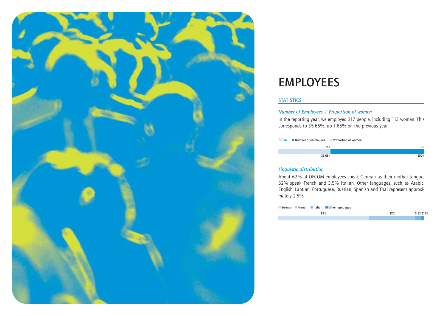

# EMPLOYEES

#### **STATISTICS**

# *Number of Employees / Proportion of women*

In the reporting year, we employed 317 people, including 113 women. This corresponds to 35.65%, up 1.65% on the previous year.

#### **2004** Number of employees Proportion of women



### *Linguistic distribution*

About 62% of OFCOM employees speak German as their mother tongue, 32% speak French and 3.5% Italian. Other languages, such as Arabic, English, Laotian, Portuguese, Russian, Spanish and Thai represent approximately 2.5%.

#### **German French Eltalian Elther lagnuages**

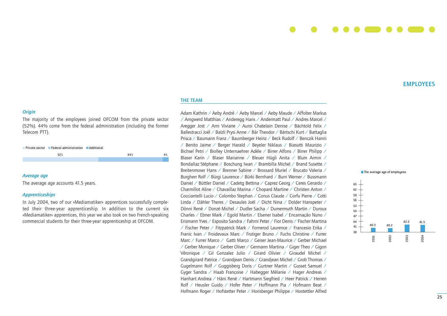### EMPLOYEES

#### *Origin*

The majority of the employees joined OFCOM from the private sector (52%). 44% come from the federal administration (including the former Telecom PTT).

| <b>Private sector Federal administration Additional</b> |  |  |
|---------------------------------------------------------|--|--|
|                                                         |  |  |
|                                                         |  |  |

#### *Average age*

The average age accounts 41.5 years.

#### *Apprenticeships*

In July 2004, two of our «Mediamatiker» apprentices successfully completed their three-year apprenticeship. In addition to the current six «Mediamatiker» apprentices, this year we also took on two French-speaking

#### THE TEAM

commercial students for their three-year apprenticeship at OFCOM. 40.3 40.2 Erismann Yves / Esposito Sandra / Fahrni Peter / Fior Denis / Fischer Martina Adam Kathrin / Aeby André / Aeby Marcel / Aeby Maude / Affolter Markus / Amgwerd Matthias / Anderegg Hans / Andermatt Paul / Andres Marcel / Aregger Jost / Arni Viviane / Auroi Chatelain Denise / Bächtold Felix / Ballestracci Joël / Balzli Prysi Anne / Bär Theodor / Bärtschi Kurt / Battaglia Prisca / Baumann Franz / Baumberger Heinz / Beck Rudolf / Benczik Hanni / Benito Jaime / Berger Harald / Beyeler Niklaus / Biasutti Maurizio / Bichsel Petri / Biolley Unternaehrer Adèle / Birrer Alfons / Birrer Philipp / Blaser Karin / Blaser Marianne / Bleuer Hügli Anita / Blum Armin / Bondallaz Stéphane / Boschung Iwan / Brambilla Michel / Brand Susette / Breitenmoser Hans / Brenner Sabine / Brossard Muriel / Brucato Valeria / Burgherr Rolf / Bürgi Laurence / Bürki Bernhard / Burri Werner / Bussmann Daniel / Büttler Daniel / Cadetg Bettina / Caprez Georg / Ceres Gerardo / Charmillot Aline / Chavaillaz Marina / Chopard Martine / Christen Anton / Cocciantelli Lucio / Colombo Stephan / Conus Claude / Corfu Pierre / Cotti Linda / Dähler Theres / Desaules Joël / Dicht Nina / Dolder Hanspeter / Dönni René / Donzé Michel / Dudler Sacha / Dumermuth Martin / Duroux Charles / Ebner Mark / Egold Martin / Elsener Isabel / Encarnação Nuno / / Fischer Peter / Fitzpatrick Mark / Fornerod Laurence / Francesio Erika / Franic Ivan / Froidevaux Marc / Frutiger Bruno / Fuchs Christine / Furrer Marc / Furrer Marco / Gatti Marco / Geiser Jean-Maurice / Gerber Michael / Gerber Monique / Gerber Oliver / Germann Martina / Giger Theo / Gigon Véronique / Gil Gonzalez Julio / Girard Olivier / Giraudel Michel / Grandgirard Patrice / Grandjean Denis / Grandjean Michel / Grob Thomas / Gugelmann Rolf / Guggisberg Doris / Gurtner Martin / Gusset Samuel / Gyger Sandra / Haab Françoise / Habegger Mélanie / Hager Andreas / Hanhart Andrea / Häni René / Hartmann Siegfried / Heer Patrick / Herren Rolf / Heusler Guido / Hofer Peter / Hoffmann Pia / Hofmann Beat / Hofmann Roger / Hofstetter Peter / Horisberger Philippe / Hostettler Alfred

#### **The average age of employees**

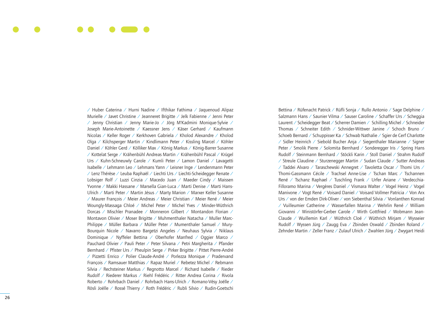

/ Huber Caterina / Hurni Nadine / Ifthikar Fathima / Jaquenoud Alipaz Murielle / Javet Christine / Jeanneret Brigitte / Jelk Fabienne / Jenni Peter / Jenny Christian / Jenny Marie-Jo / Jörg M'Kadmini Monique-Sylvie / Joseph Marie-Antoinette / Kaessner Jens / Käser Gerhard / Kaufmann Nicolas / Keller Roger / Kerkhoven Gabriela / Kholod Alexandre / Kholod Olga / Kilchsperger Martin / Kindlimann Peter / Kissling Marcel / Köhler Daniel / Köhler Gerd / Kölliker Max / König Markus / König-Barrer Susanne / Kottelat Serge / Krähenbühl Andreas Martin / Krähenbühl Pascal / Krügel Urs / Kuhn-Schneuwly Carole / Kumli Peter / Lamon Daniel / Lavagetti Isabelle / Lehmann Leo / Lehmans Yann / Leisner Inge / Lendenmann Peter / Lenz Thérèse / Leuba Raphaël / Liechti Urs / Liechti-Scheidegger Renate / Lobsiger Rolf / Luzzi Cinzia / Macedo Juan / Maeder Cindy / Maissen Yvonne / Makki Hassane / Marsella Gian-Luca / Marti Denise / Marti Hans-Ulrich / Marti Peter / Martin Jésus / Marty Marion / Marxer Keller Susanne / Maurer François / Meier Andreas / Meier Christian / Meier René / Meier Woungly-Massaga Chloé / Michel Peter / Michel Yves / Minder-Wüthrich Dorcas / Mischler Pranadee / Monneron Gilbert / Montandon Florian / Montavon Olivier / Moser Brigitte / Muhmenthaler Natacha / Muller Marc-Philippe / Müller Barbara / Müller Peter / Mumenthaler Samuel / Mury-Bourquin Nicole / Navarro Bargetzi Angeles / Neuhaus Sylvia / Niklaus Dominique / Nyffeler Bettina / Oberhofer Manfred / Oggier Marco / Pauchard Olivier / Pauli Peter / Peter Silvana / Petri Margherita / Pfander Bernhard / Pfister Urs / Pheulpin Serge / Pirker Brigitte / Pittet Pierre-André / Pizzetti Enrico / Polier Claude-André / Porlezza Monique / Pradervand François / Ramsauer Matthias / Rapaz Muriel / Rebetez Michel / Rebmann Silvia / Rechsteiner Markus / Regnotto Marcel / Richard Isabelle / Rieder Rudolf / Riederer Markus / Riehl Frédéric / Ritter Andrea Corina / Rivola Roberto / Rohrbach Daniel / Rohrbach Hans-Ulrich / Romano-Vésy Joëlle / Rösli Joëlle / Rossé Thierry / Roth Frédéric / Rubli Silvio / Rudin-Goetschi

Bettina / Rüfenacht Patrick / Rüfli Sonja / Rullo Antonio / Sage Delphine / Salzmann Hans / Saunier Vilma / Sauser Caroline / Schaffer Urs / Scheggia Laurent / Scheidegger Beat / Scherrer Damien / Schilling Michel / Schneider Thomas / Schneiter Edith / Schnider-Wittwer Janine / Schoch Bruno / Schoeb Bernard / Schuppisser Ka / Schwab Nathalie / Sgier de Cerf Charlotte / Sidler Heinrich / Siebold Bucher Anja / Siegenthaler Marianne / Signer Peter / Smolik Pierre / Solomita Bernhard / Sonderegger Iris / Spring Hans Rudolf / Steinmann Bernhard / Stöckli Karin / Stoll Daniel / Strahm Rudolf / Streule Claudine / Sturzenegger Martin / Sudan Claude / Sutter Andreas / Taddei Alvaro / Taraschewski Annegret / Tavoletta Oscar / Thomi Urs / Thomi-Gassmann Cécile / Trachsel Anne-Lise / Tschan Marc / Tschannen René / Tschanz Raphael / Tuschling Frank / Urfer Ariane / Verdecchia-Filloramo Marina / Vergères Daniel / Vismara Walter / Vogel Heinz / Vogel Manivone / Vogt René / Voisard Daniel / Voisard Vollmer Patricia / Von Arx Urs / von der Emden Dirk-Oliver / von Siebenthal Silvia / Vonlanthen Konrad / Vuilleumier Catherine / Wasserfallen Marina / Wehrlin René / William Giovanni / Winistörfer-Gerber Carole / Wirth Gottfried / Wobmann Jean-Claude / Wuillemin Karl / Wüthrich Cloé / Wüthrich Mirjam / Wysseier Rudolf / Wyssen Jürg / Zaugg Eva / Zbinden Oswald / Zbinden Roland / Zehnder Martin / Zeller Franz / Zulauf Ulrich / Zwahlen Jürg / Zwygart Heidi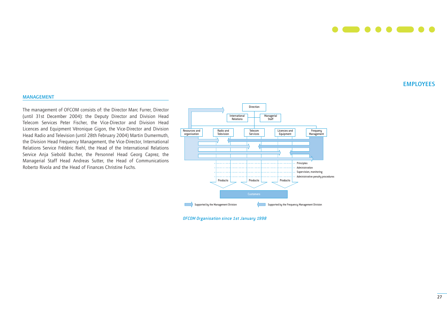# $\bullet \bullet \bullet \bullet \bullet \bullet \bullet \bullet$

## EMPLOYEES

#### MANAGEMENT

The management of OFCOM consists of: the Director Marc Furrer, Director (until 31st December 2004): the Deputy Director and Division Head Telecom Services Peter Fischer, the Vice-Director and Division Head Licences and Equipment Véronique Gigon, the Vice-Director and Division Head Radio and Television (until 28th February 2004) Martin Dumermuth, the Division Head Frequency Management, the Vice-Director, International Relations Service Frédéric Riehl, the Head of the International Relations Service Anja Siebold Bucher, the Personnel Head Georg Caprez, the Managerial Staff Head Andreas Sutter, the Head of Communications Roberto Rivola and the Head of Finances Christine Fuchs.



OFCOM Organisation since 1st January 1998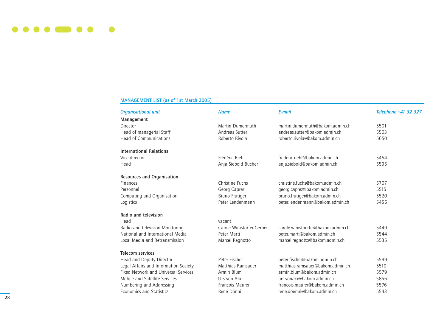# 

## MANAGEMENT LIST (as of 1st March 2005)

| <b>Organisational unit</b>                  | <b>Name</b>               | E-mail                             | Telephone +41 32 327 |
|---------------------------------------------|---------------------------|------------------------------------|----------------------|
| Management                                  |                           |                                    |                      |
| Director                                    | Martin Dumermuth          | martin.dumermuth@bakom.admin.ch    | 5501                 |
| Head of managerial Staff                    | Andreas Sutter            | andreas.sutter@bakom.admin.ch      | 5503                 |
| <b>Head of Communications</b>               | Roberto Rivola            | roberto.rivola@bakom.admin.ch      | 5650                 |
| <b>International Relations</b>              |                           |                                    |                      |
| Vice-director                               | Frédéric Riehl            | frederic.riehl@bakom.admin.ch      | 5454                 |
| Head                                        | Anja Siebold Bucher       | anja.siebold@bakom.admin.ch        | 5595                 |
| <b>Resources and Organisation</b>           |                           |                                    |                      |
| <b>Finances</b>                             | Christine Fuchs           | christine.fuchs@bakom.admin.ch     | 5707                 |
| Personnel                                   | Georg Caprez              | qeorq.caprez@bakom.admin.ch        | 5515                 |
| Computing and Organisation                  | Bruno Frutiger            | bruno.frutiger@bakom.admin.ch      | 5520                 |
| Logistics                                   | Peter Lendenmann          | peter.lendenmann@bakom.admin.ch    | 5456                 |
| Radio and television                        |                           |                                    |                      |
| Head                                        | vacant                    |                                    |                      |
| Radio and television Monitoring             | Carole Winistörfer-Gerber | carole.winistoerfer@bakom.admin.ch | 5449                 |
| National and International Media            | Peter Marti               | peter.marti@bakom.admin.ch         | 5544                 |
| Local Media and Retransmission              | Marcel Regnotto           | marcel.regnotto@bakom.admin.ch     | 5535                 |
| <b>Telecom services</b>                     |                           |                                    |                      |
| Head and Deputy Director                    | Peter Fischer             | peter.fischer@bakom.admin.ch       | 5599                 |
| Legal Affairs and Information Society       | <b>Matthias Ramsauer</b>  | matthias.ramsauer@bakom.admin.ch   | 5510                 |
| <b>Fixed Network and Universal Services</b> | Armin Blum                | armin.blum@bakom.admin.ch          | 5579                 |
| Mobile and Satellite Services               | Urs von Arx               | urs.vonarx@bakom.admin.ch          | 5856                 |
| Numbering and Addressing                    | François Maurer           | francois.maurer@bakom.admin.ch     | 5576                 |
| Economics and Statistics                    | René Dönni                | rene.doenni@bakom.admin.ch         | 5543                 |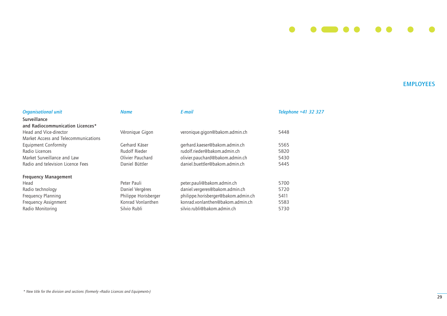# 

## EMPLOYEES

| <b>Organisational unit</b>           | <b>Name</b>          | E-mail                              | Telephone +41 32 327 |
|--------------------------------------|----------------------|-------------------------------------|----------------------|
| Surveillance                         |                      |                                     |                      |
| and Radiocommunication Licences*     |                      |                                     |                      |
| Head and Vice-director               | Véronique Gigon      | veronique.gigon@bakom.admin.ch      | 5448                 |
| Market Access and Telecommunications |                      |                                     |                      |
| Equipment Conformity                 | Gerhard Käser        | gerhard.kaeser@bakom.admin.ch       | 5565                 |
| Radio Licences                       | Rudolf Rieder        | rudolf.rieder@bakom.admin.ch        | 5820                 |
| Market Surveillance and Law          | Olivier Pauchard     | olivier.pauchard@bakom.admin.ch     | 5430                 |
| Radio and television Licence Fees    | Daniel Büttler       | daniel.buettler@bakom.admin.ch      | 5445                 |
| <b>Frequency Management</b>          |                      |                                     |                      |
| Head                                 | Peter Pauli          | peter.pauli@bakom.admin.ch          | 5700                 |
| Radio technology                     | Daniel Vergères      | daniel.vergeres@bakom.admin.ch      | 5720                 |
| Frequency Planning                   | Philippe Horisberger | philippe.horisberger@bakom.admin.ch | 5411                 |
| Frequency Assignment                 | Konrad Vonlanthen    | konrad.vonlanthen@bakom.admin.ch    | 5583                 |
| Radio Monitoring                     | Silvio Rubli         | silvio.rubli@bakom.admin.ch         | 5730                 |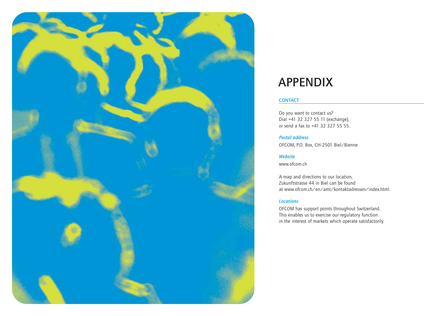

# APPENDIX

### **CONTACT**

Do you want to contact us? Dial +41 32 327 55 11 (exchange), or send a fax to  $+41$  32 327 55 55.

### *Postal address*

OFCOM, P.O. Box, CH-2501 Biel/Bienne

# *Website*

www.ofcom.ch

A map and directions to our location, Zukunftstrasse 44 in Biel can be found at www.ofcom.ch/en/amt/kontaktadressen/index.html.

## *Locations*

OFCOM has support points throughout Switzerland. This enables us to exercise our regulatory function in the interest of markets which operate satisfactorily.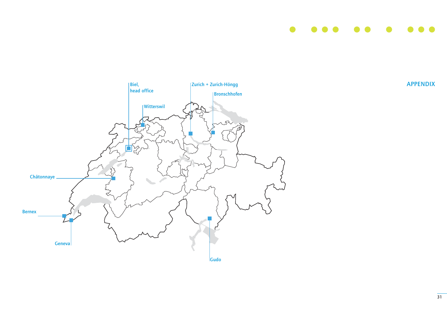#### $\begin{array}{ccccccccccccccccc} \bullet & & \bullet & \bullet & \bullet & \bullet & & \bullet & \bullet & & \bullet \end{array}$  $\bullet\bullet\bullet$

Zurich + Zurich-Höngg Biel, head office Bronschhofen Witterswil  $\sim$ Châtonnaye  $\frac{1}{52}$ Bernex  $\overline{\phantom{a}}$ **Geneval** Gudo

APPENDIX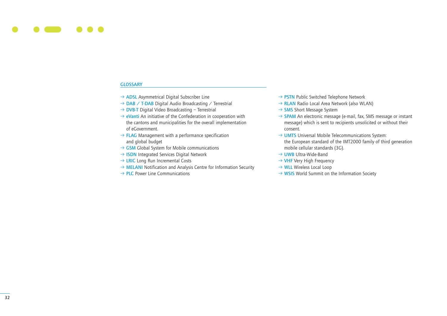#### **GLOSSARY**

- **≥** ADSL Asymmetrical Digital Subscriber Line
- **≥** DAB / T-DAB Digital Audio Broadcasting / Terrestrial
- **≥** DVB-T Digital Video Broadcasting Terrestrial
- **≥** eVanti An initiative of the Confederation in cooperation with the cantons and municipalities for the overall implementation of eGovernment.
- **≥** FLAG Management with a performance specification and global budget
- **≥** GSM Global System for Mobile communications
- **≥** ISDN Integrated Services Digital Network
- **≥** LRIC Long Run Incremental Costs
- **≥** MELANI Notification and Analysis Centre for Information Security
- **≥** PLC Power Line Communications
- **≥** PSTN Public Switched Telephone Network
- **≥** RLAN Radio Local Area Network (also WLAN)
- **≥** SMS Short Message System
- **≥** SPAM An electronic message (e-mail, fax, SMS message or instant message) which is sent to recipients unsolicited or without their consent.
- **≥** UMTS Universal Mobile Telecommunications System: the European standard of the IMT2000 family of third generation mobile cellular standards (3G).
- **≥** UWB Ultra-Wide-Band
- **≥** VHF Very High Frequency
- **≥** WLL Wireless Local Loop
- **≥** WSIS World Summit on the Information Society